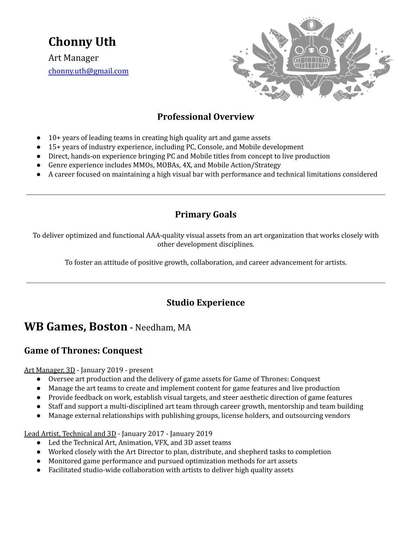**Chonny Uth**

Art Manager [chonny.uth@gmail.com](mailto:chonny.uth@gmail.com)



## **Professional Overview**

- $10+$  years of leading teams in creating high quality art and game assets
- 15+ years of industry experience, including PC, Console, and Mobile development
- Direct, hands-on experience bringing PC and Mobile titles from concept to live production
- Genre experience includes MMOs, MOBAs, 4X, and Mobile Action/Strategy
- A career focused on maintaining a high visual bar with performance and technical limitations considered

### **Primary Goals**

To deliver optimized and functional AAA-quality visual assets from an art organization that works closely with other development disciplines.

To foster an attitude of positive growth, collaboration, and career advancement for artists.

## **Studio Experience**

# **WB Games, Boston -** Needham, MA

### **Game of Thrones: Conquest**

Art Manager, 3D - January 2019 - present

- Oversee art production and the delivery of game assets for Game of Thrones: Conquest
- Manage the art teams to create and implement content for game features and live production
- Provide feedback on work, establish visual targets, and steer aesthetic direction of game features
- Staff and support a multi-disciplined art team through career growth, mentorship and team building
- Manage external relationships with publishing groups, license holders, and outsourcing vendors

Lead Artist, Technical and 3D - January 2017 - January 2019

- Led the Technical Art, Animation, VFX, and 3D asset teams
- Worked closely with the Art Director to plan, distribute, and shepherd tasks to completion
- Monitored game performance and pursued optimization methods for art assets
- Facilitated studio-wide collaboration with artists to deliver high quality assets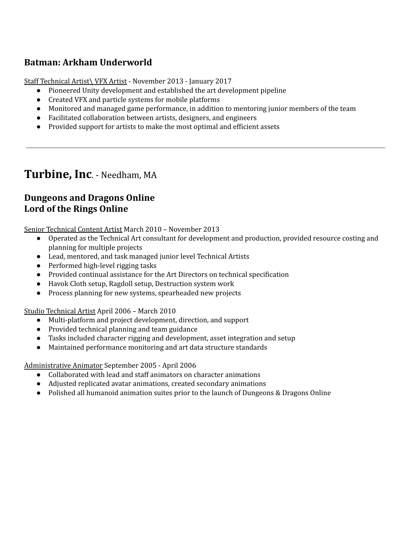## **Batman: Arkham Underworld**

Staff Technical Artist\ VFX Artist - November 2013 - January 2017

- Pioneered Unity development and established the art development pipeline
- Created VFX and particle systems for mobile platforms
- Monitored and managed game performance, in addition to mentoring junior members of the team
- Facilitated collaboration between artists, designers, and engineers
- Provided support for artists to make the most optimal and efficient assets

# **Turbine, Inc**. - Needham, MA

## **Dungeons and Dragons Online Lord of the Rings Online**

Senior Technical Content Artist March 2010 – November 2013

- Operated as the Technical Art consultant for development and production, provided resource costing and planning for multiple projects
- Lead, mentored, and task managed junior level Technical Artists
- Performed high-level rigging tasks
- Provided continual assistance for the Art Directors on technical specification
- Havok Cloth setup, Ragdoll setup, Destruction system work
- Process planning for new systems, spearheaded new projects

#### Studio Technical Artist April 2006 – March 2010

- Multi-platform and project development, direction, and support
- Provided technical planning and team guidance
- Tasks included character rigging and development, asset integration and setup
- Maintained performance monitoring and art data structure standards

#### Administrative Animator September 2005 - April 2006

- Collaborated with lead and staff animators on character animations
- Adjusted replicated avatar animations, created secondary animations
- Polished all humanoid animation suites prior to the launch of Dungeons & Dragons Online